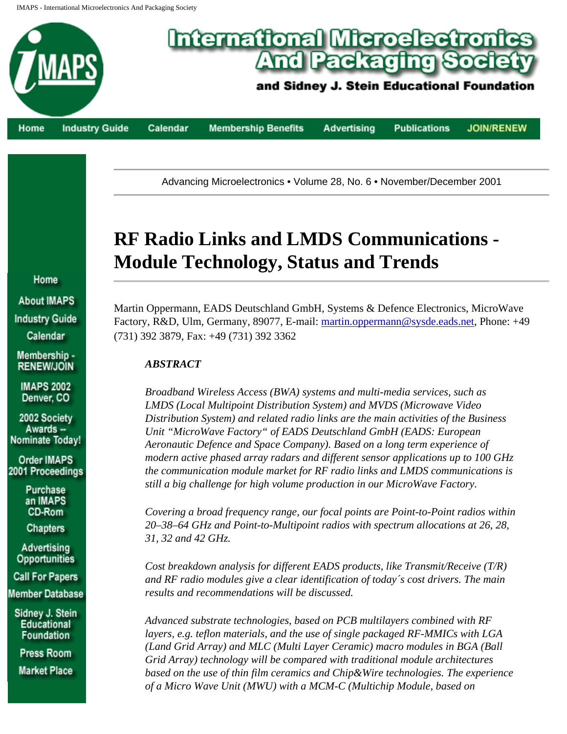IMAPS - International Microelectronics And Packaging Society



Advancing Microelectronics • Volume 28, No. 6 • November/December 2001

# **RF Radio Links and LMDS Communications - Module Technology, Status and Trends**

Martin Oppermann, EADS Deutschland GmbH, Systems & Defence Electronics, MicroWave Factory, R&D, Ulm, Germany, 89077, E-mail: martin.oppermann@sysde.eads.net, Phone: +49 (731) 392 3879, Fax: +49 (731) 392 3362

# *ABSTRACT*

*Broadband Wireless Access (BWA) systems and multi-media services, such as LMDS (Local Multipoint Distribution System) and MVDS (Microwave Video Distribution System) and related radio links are the main activities of the Business Unit "MicroWave Factory" of EADS Deutschland GmbH (EADS: European Aeronautic Defence and Space Company). Based on a long term experience of modern active phased array radars and different sensor applications up to 100 GHz the communication module market for RF radio links and LMDS communications is still a big challenge for high volume production in our MicroWave Factory.*

*Covering a broad frequency range, our focal points are Point-to-Point radios within 20–38–64 GHz and Point-to-Multipoint radios with spectrum allocations at 26, 28, 31, 32 and 42 GHz.*

*Cost breakdown analysis for different EADS products, like Transmit/Receive (T/R) and RF radio modules give a clear identification of today´s cost drivers. The main results and recommendations will be discussed.*

*Advanced substrate technologies, based on PCB multilayers combined with RF layers, e.g. teflon materials, and the use of single packaged RF-MMICs with LGA (Land Grid Array) and MLC (Multi Layer Ceramic) macro modules in BGA (Ball Grid Array) technology will be compared with traditional module architectures based on the use of thin film ceramics and Chip&Wire technologies. The experience of a Micro Wave Unit (MWU) with a MCM-C (Multichip Module, based on* 

Home **About IMAPS Industry Guide** Calendar Membership -**RENEWIJOIN** 

> **IMAPS 2002** Denver, CO

2002 Society Awards -Nominate Today!

**Order IMAPS** 2001 Proceedings

> Purchase an IMAPS CD-Rom

**Chapters** 

Advertising **Opportunities** 

**Call For Papers Member Database** 

Sidney J. Stein **Educational Foundation** 

Press Room

**Market Place**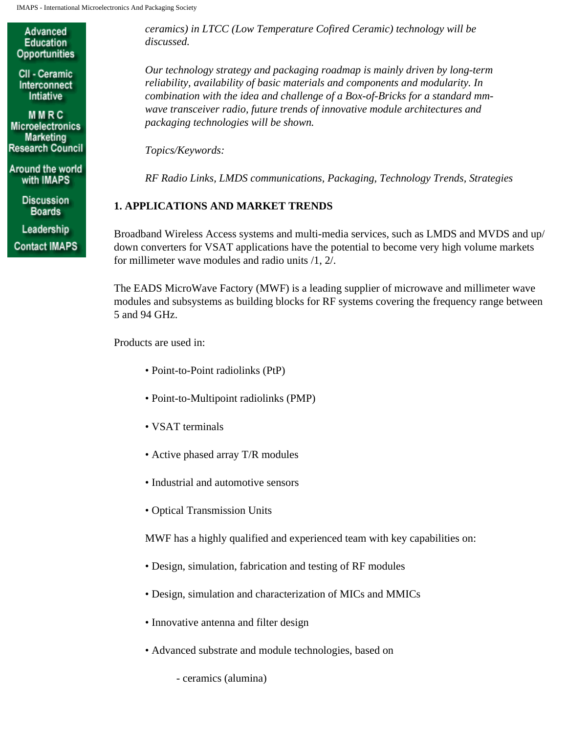Advanced **Education Opportunities** 

CII - Ceramic Interconnect Intiative

MMRC **Microelectronics** Marketing **Research Council** 

Around the world with IMAPS

> **Discussion Boards**

Leadership

**Contact IMAPS** 

*ceramics) in LTCC (Low Temperature Cofired Ceramic) technology will be discussed.*

*Our technology strategy and packaging roadmap is mainly driven by long-term reliability, availability of basic materials and components and modularity. In combination with the idea and challenge of a Box-of-Bricks for a standard mmwave transceiver radio, future trends of innovative module architectures and packaging technologies will be shown.*

*Topics/Keywords:*

*RF Radio Links, LMDS communications, Packaging, Technology Trends, Strategies*

# **1. APPLICATIONS AND MARKET TRENDS**

Broadband Wireless Access systems and multi-media services, such as LMDS and MVDS and up/ down converters for VSAT applications have the potential to become very high volume markets for millimeter wave modules and radio units /1, 2/.

The EADS MicroWave Factory (MWF) is a leading supplier of microwave and millimeter wave modules and subsystems as building blocks for RF systems covering the frequency range between 5 and 94 GHz.

Products are used in:

- Point-to-Point radiolinks (PtP)
- Point-to-Multipoint radiolinks (PMP)
- VSAT terminals
- Active phased array T/R modules
- Industrial and automotive sensors
- Optical Transmission Units

MWF has a highly qualified and experienced team with key capabilities on:

- Design, simulation, fabrication and testing of RF modules
- Design, simulation and characterization of MICs and MMICs
- Innovative antenna and filter design
- Advanced substrate and module technologies, based on
	- ceramics (alumina)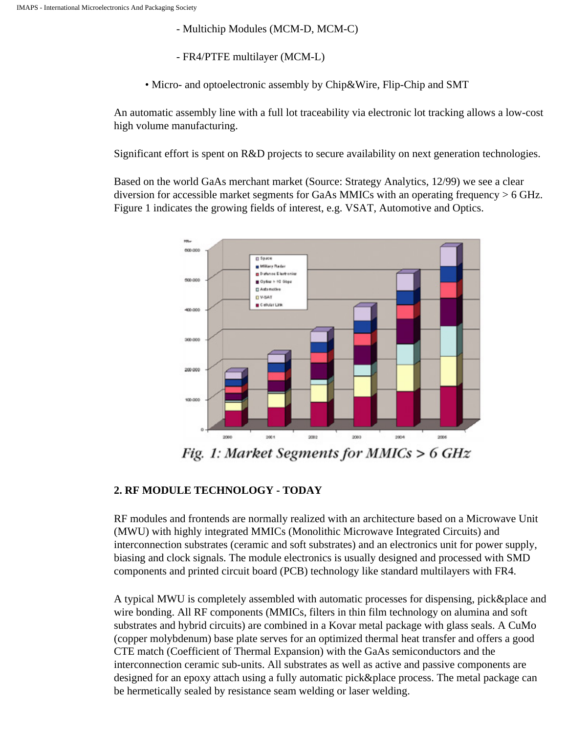- Multichip Modules (MCM-D, MCM-C)

- FR4/PTFE multilayer (MCM-L)

• Micro- and optoelectronic assembly by Chip&Wire, Flip-Chip and SMT

An automatic assembly line with a full lot traceability via electronic lot tracking allows a low-cost high volume manufacturing.

Significant effort is spent on R&D projects to secure availability on next generation technologies.

Based on the world GaAs merchant market (Source: Strategy Analytics, 12/99) we see a clear diversion for accessible market segments for GaAs MMICs with an operating frequency  $> 6$  GHz. Figure 1 indicates the growing fields of interest, e.g. VSAT, Automotive and Optics.



Fig. 1: Market Segments for MMICs >  $6$  GHz

## **2. RF MODULE TECHNOLOGY - TODAY**

RF modules and frontends are normally realized with an architecture based on a Microwave Unit (MWU) with highly integrated MMICs (Monolithic Microwave Integrated Circuits) and interconnection substrates (ceramic and soft substrates) and an electronics unit for power supply, biasing and clock signals. The module electronics is usually designed and processed with SMD components and printed circuit board (PCB) technology like standard multilayers with FR4.

A typical MWU is completely assembled with automatic processes for dispensing, pick&place and wire bonding. All RF components (MMICs, filters in thin film technology on alumina and soft substrates and hybrid circuits) are combined in a Kovar metal package with glass seals. A CuMo (copper molybdenum) base plate serves for an optimized thermal heat transfer and offers a good CTE match (Coefficient of Thermal Expansion) with the GaAs semiconductors and the interconnection ceramic sub-units. All substrates as well as active and passive components are designed for an epoxy attach using a fully automatic pick&place process. The metal package can be hermetically sealed by resistance seam welding or laser welding.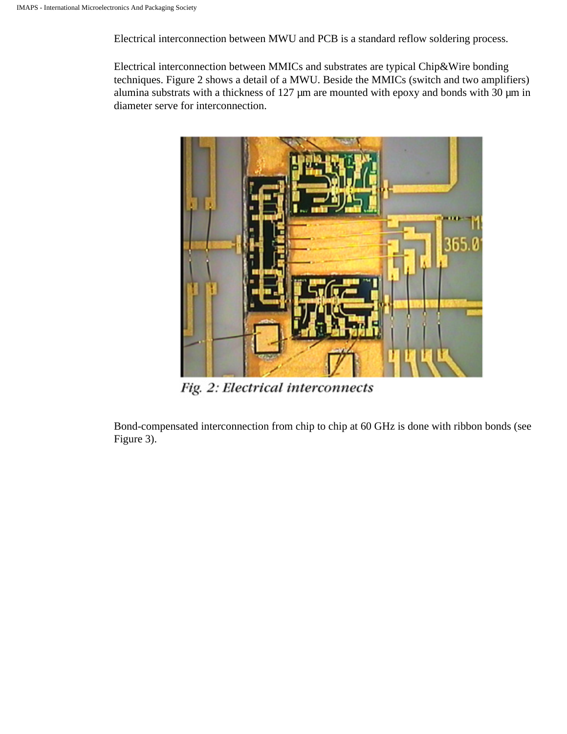Electrical interconnection between MWU and PCB is a standard reflow soldering process.

Electrical interconnection between MMICs and substrates are typical Chip&Wire bonding techniques. Figure 2 shows a detail of a MWU. Beside the MMICs (switch and two amplifiers) alumina substrats with a thickness of 127  $\mu$ m are mounted with epoxy and bonds with 30  $\mu$ m in diameter serve for interconnection.



Fig. 2: Electrical interconnects

Bond-compensated interconnection from chip to chip at 60 GHz is done with ribbon bonds (see Figure 3).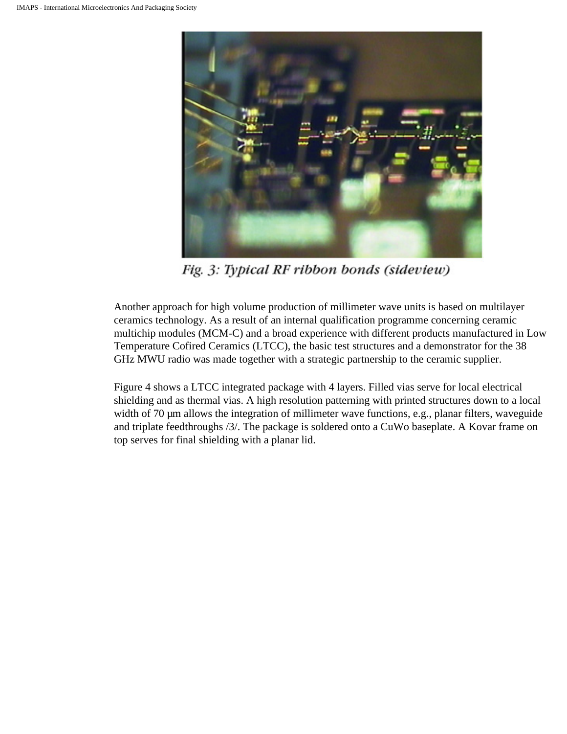

Fig. 3: Typical RF ribbon bonds (sideview)

Another approach for high volume production of millimeter wave units is based on multilayer ceramics technology. As a result of an internal qualification programme concerning ceramic multichip modules (MCM-C) and a broad experience with different products manufactured in Low Temperature Cofired Ceramics (LTCC), the basic test structures and a demonstrator for the 38 GHz MWU radio was made together with a strategic partnership to the ceramic supplier.

Figure 4 shows a LTCC integrated package with 4 layers. Filled vias serve for local electrical shielding and as thermal vias. A high resolution patterning with printed structures down to a local width of 70  $\mu$ m allows the integration of millimeter wave functions, e.g., planar filters, waveguide and triplate feedthroughs /3/. The package is soldered onto a CuWo baseplate. A Kovar frame on top serves for final shielding with a planar lid.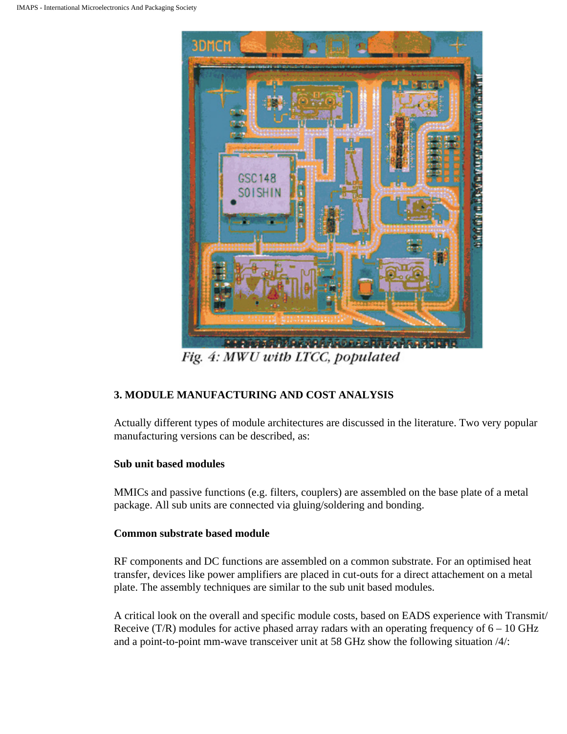

Fig. 4: MWU with LTCC, populated

# **3. MODULE MANUFACTURING AND COST ANALYSIS**

Actually different types of module architectures are discussed in the literature. Two very popular manufacturing versions can be described, as:

## **Sub unit based modules**

MMICs and passive functions (e.g. filters, couplers) are assembled on the base plate of a metal package. All sub units are connected via gluing/soldering and bonding.

## **Common substrate based module**

RF components and DC functions are assembled on a common substrate. For an optimised heat transfer, devices like power amplifiers are placed in cut-outs for a direct attachement on a metal plate. The assembly techniques are similar to the sub unit based modules.

A critical look on the overall and specific module costs, based on EADS experience with Transmit/ Receive (T/R) modules for active phased array radars with an operating frequency of  $6 - 10$  GHz and a point-to-point mm-wave transceiver unit at 58 GHz show the following situation /4/: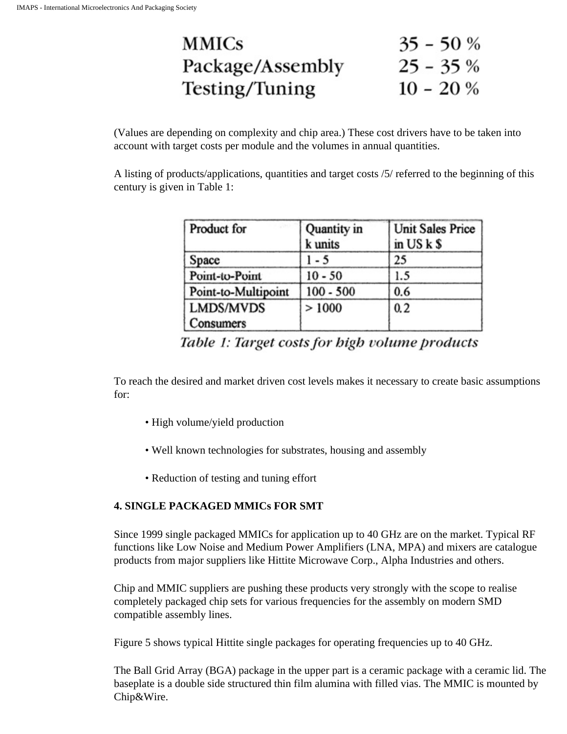| <b>MMICS</b>     | $35 - 50%$ |
|------------------|------------|
| Package/Assembly | $25 - 35%$ |
| Testing/Tuning   | $10 - 20%$ |

(Values are depending on complexity and chip area.) These cost drivers have to be taken into account with target costs per module and the volumes in annual quantities.

A listing of products/applications, quantities and target costs /5/ referred to the beginning of this century is given in Table 1:

| Product for                   | Quantity in<br>k units | <b>Unit Sales Price</b><br>in $USk$ \$ |
|-------------------------------|------------------------|----------------------------------------|
| Space                         | 1 - 5                  | 25                                     |
| Point-to-Point                | $10 - 50$              | 1.5                                    |
| Point-to-Multipoint           | $100 - 500$            | 0.6                                    |
| <b>LMDS/MVDS</b><br>Consumers | >1000                  | 0.2                                    |

Table 1: Target costs for high volume products

To reach the desired and market driven cost levels makes it necessary to create basic assumptions for:

- High volume/yield production
- Well known technologies for substrates, housing and assembly
- Reduction of testing and tuning effort

## **4. SINGLE PACKAGED MMICs FOR SMT**

Since 1999 single packaged MMICs for application up to 40 GHz are on the market. Typical RF functions like Low Noise and Medium Power Amplifiers (LNA, MPA) and mixers are catalogue products from major suppliers like Hittite Microwave Corp., Alpha Industries and others.

Chip and MMIC suppliers are pushing these products very strongly with the scope to realise completely packaged chip sets for various frequencies for the assembly on modern SMD compatible assembly lines.

Figure 5 shows typical Hittite single packages for operating frequencies up to 40 GHz.

The Ball Grid Array (BGA) package in the upper part is a ceramic package with a ceramic lid. The baseplate is a double side structured thin film alumina with filled vias. The MMIC is mounted by Chip&Wire.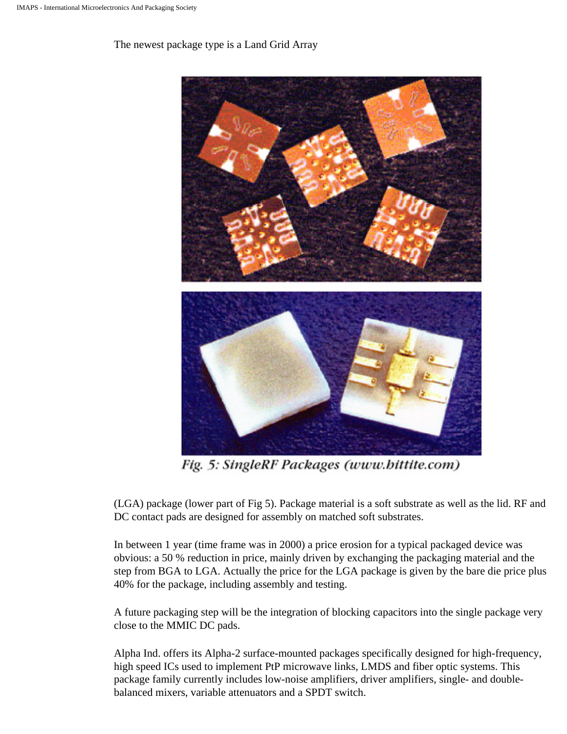The newest package type is a Land Grid Array



Fig. 5: SingleRF Packages (www.bittite.com)

(LGA) package (lower part of Fig 5). Package material is a soft substrate as well as the lid. RF and DC contact pads are designed for assembly on matched soft substrates.

In between 1 year (time frame was in 2000) a price erosion for a typical packaged device was obvious: a 50 % reduction in price, mainly driven by exchanging the packaging material and the step from BGA to LGA. Actually the price for the LGA package is given by the bare die price plus 40% for the package, including assembly and testing.

A future packaging step will be the integration of blocking capacitors into the single package very close to the MMIC DC pads.

Alpha Ind. offers its Alpha-2 surface-mounted packages specifically designed for high-frequency, high speed ICs used to implement PtP microwave links, LMDS and fiber optic systems. This package family currently includes low-noise amplifiers, driver amplifiers, single- and doublebalanced mixers, variable attenuators and a SPDT switch.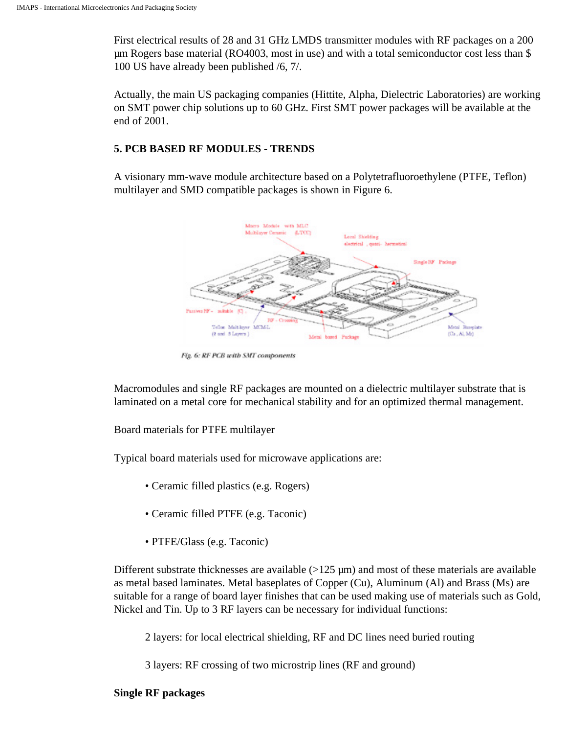First electrical results of 28 and 31 GHz LMDS transmitter modules with RF packages on a 200 µm Rogers base material (RO4003, most in use) and with a total semiconductor cost less than \$ 100 US have already been published /6, 7/.

Actually, the main US packaging companies (Hittite, Alpha, Dielectric Laboratories) are working on SMT power chip solutions up to 60 GHz. First SMT power packages will be available at the end of 2001.

#### **5. PCB BASED RF MODULES - TRENDS**

A visionary mm-wave module architecture based on a Polytetrafluoroethylene (PTFE, Teflon) multilayer and SMD compatible packages is shown in Figure 6.



Fig. 6: RF PCB with SMT components

Macromodules and single RF packages are mounted on a dielectric multilayer substrate that is laminated on a metal core for mechanical stability and for an optimized thermal management.

Board materials for PTFE multilayer

Typical board materials used for microwave applications are:

- Ceramic filled plastics (e.g. Rogers)
- Ceramic filled PTFE (e.g. Taconic)
- PTFE/Glass (e.g. Taconic)

Different substrate thicknesses are available  $(>125 \mu m)$  and most of these materials are available as metal based laminates. Metal baseplates of Copper (Cu), Aluminum (Al) and Brass (Ms) are suitable for a range of board layer finishes that can be used making use of materials such as Gold, Nickel and Tin. Up to 3 RF layers can be necessary for individual functions:

2 layers: for local electrical shielding, RF and DC lines need buried routing

3 layers: RF crossing of two microstrip lines (RF and ground)

#### **Single RF packages**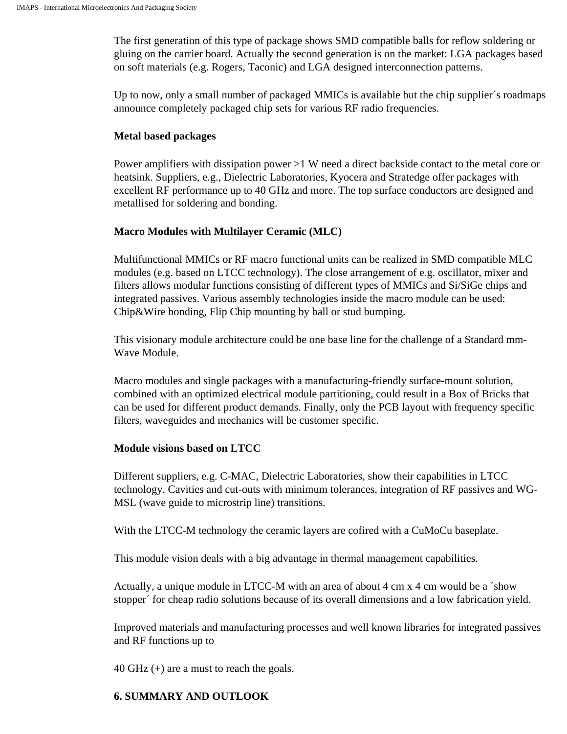The first generation of this type of package shows SMD compatible balls for reflow soldering or gluing on the carrier board. Actually the second generation is on the market: LGA packages based on soft materials (e.g. Rogers, Taconic) and LGA designed interconnection patterns.

Up to now, only a small number of packaged MMICs is available but the chip supplier´s roadmaps announce completely packaged chip sets for various RF radio frequencies.

#### **Metal based packages**

Power amplifiers with dissipation power >1 W need a direct backside contact to the metal core or heatsink. Suppliers, e.g., Dielectric Laboratories, Kyocera and Stratedge offer packages with excellent RF performance up to 40 GHz and more. The top surface conductors are designed and metallised for soldering and bonding.

#### **Macro Modules with Multilayer Ceramic (MLC)**

Multifunctional MMICs or RF macro functional units can be realized in SMD compatible MLC modules (e.g. based on LTCC technology). The close arrangement of e.g. oscillator, mixer and filters allows modular functions consisting of different types of MMICs and Si/SiGe chips and integrated passives. Various assembly technologies inside the macro module can be used: Chip&Wire bonding, Flip Chip mounting by ball or stud bumping.

This visionary module architecture could be one base line for the challenge of a Standard mm-Wave Module.

Macro modules and single packages with a manufacturing-friendly surface-mount solution, combined with an optimized electrical module partitioning, could result in a Box of Bricks that can be used for different product demands. Finally, only the PCB layout with frequency specific filters, waveguides and mechanics will be customer specific.

#### **Module visions based on LTCC**

Different suppliers, e.g. C-MAC, Dielectric Laboratories, show their capabilities in LTCC technology. Cavities and cut-outs with minimum tolerances, integration of RF passives and WG-MSL (wave guide to microstrip line) transitions.

With the LTCC-M technology the ceramic layers are cofired with a CuMoCu baseplate.

This module vision deals with a big advantage in thermal management capabilities.

Actually, a unique module in LTCC-M with an area of about 4 cm x 4 cm would be a ´show stopper´ for cheap radio solutions because of its overall dimensions and a low fabrication yield.

Improved materials and manufacturing processes and well known libraries for integrated passives and RF functions up to

40 GHz (+) are a must to reach the goals.

#### **6. SUMMARY AND OUTLOOK**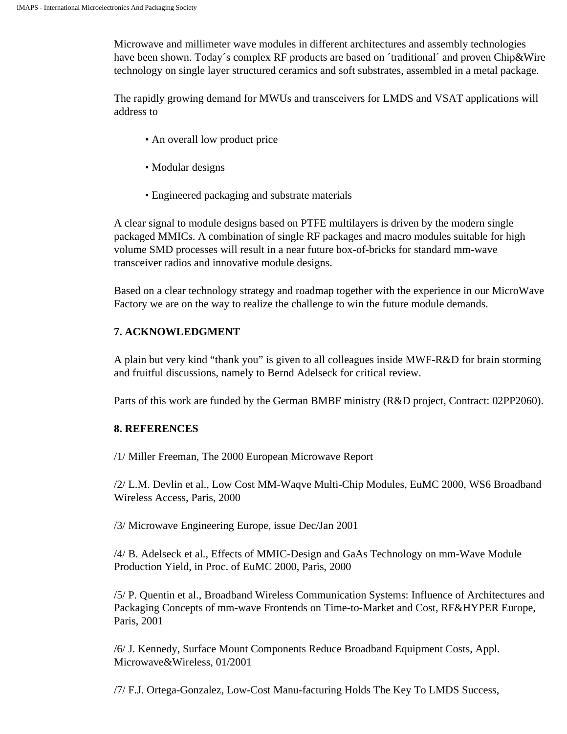Microwave and millimeter wave modules in different architectures and assembly technologies have been shown. Today's complex RF products are based on 'traditional' and proven Chip&Wire technology on single layer structured ceramics and soft substrates, assembled in a metal package.

The rapidly growing demand for MWUs and transceivers for LMDS and VSAT applications will address to

- An overall low product price
- Modular designs
- Engineered packaging and substrate materials

A clear signal to module designs based on PTFE multilayers is driven by the modern single packaged MMICs. A combination of single RF packages and macro modules suitable for high volume SMD processes will result in a near future box-of-bricks for standard mm-wave transceiver radios and innovative module designs.

Based on a clear technology strategy and roadmap together with the experience in our MicroWave Factory we are on the way to realize the challenge to win the future module demands.

## **7. ACKNOWLEDGMENT**

A plain but very kind "thank you" is given to all colleagues inside MWF-R&D for brain storming and fruitful discussions, namely to Bernd Adelseck for critical review.

Parts of this work are funded by the German BMBF ministry (R&D project, Contract: 02PP2060).

## **8. REFERENCES**

/1/ Miller Freeman, The 2000 European Microwave Report

/2/ L.M. Devlin et al., Low Cost MM-Waqve Multi-Chip Modules, EuMC 2000, WS6 Broadband Wireless Access, Paris, 2000

/3/ Microwave Engineering Europe, issue Dec/Jan 2001

/4/ B. Adelseck et al., Effects of MMIC-Design and GaAs Technology on mm-Wave Module Production Yield, in Proc. of EuMC 2000, Paris, 2000

/5/ P. Quentin et al., Broadband Wireless Communication Systems: Influence of Architectures and Packaging Concepts of mm-wave Frontends on Time-to-Market and Cost, RF&HYPER Europe, Paris, 2001

/6/ J. Kennedy, Surface Mount Components Reduce Broadband Equipment Costs, Appl. Microwave&Wireless, 01/2001

/7/ F.J. Ortega-Gonzalez, Low-Cost Manu-facturing Holds The Key To LMDS Success,